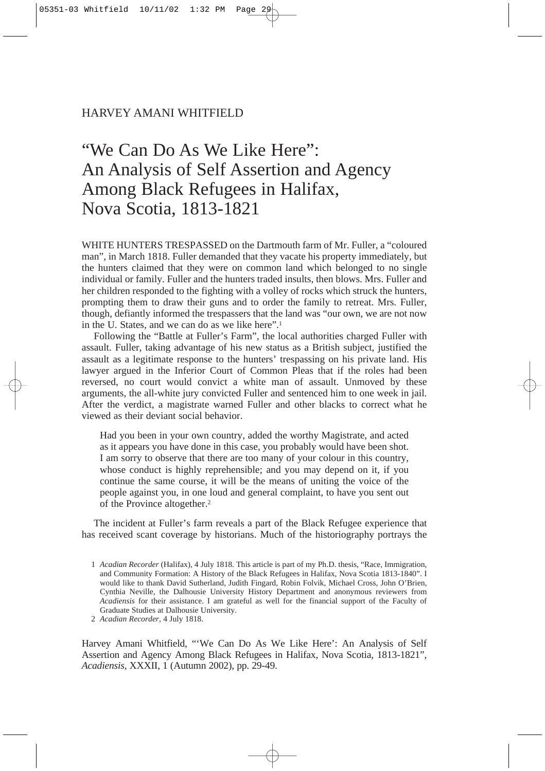# HARVEY AMANI WHITFIELD

# "We Can Do As We Like Here": An Analysis of Self Assertion and Agency Among Black Refugees in Halifax, Nova Scotia, 1813-1821

WHITE HUNTERS TRESPASSED on the Dartmouth farm of Mr. Fuller, a "coloured man", in March 1818. Fuller demanded that they vacate his property immediately, but the hunters claimed that they were on common land which belonged to no single individual or family. Fuller and the hunters traded insults, then blows. Mrs. Fuller and her children responded to the fighting with a volley of rocks which struck the hunters, prompting them to draw their guns and to order the family to retreat. Mrs. Fuller, though, defiantly informed the trespassers that the land was "our own, we are not now in the U. States, and we can do as we like here".1

Following the "Battle at Fuller's Farm", the local authorities charged Fuller with assault. Fuller, taking advantage of his new status as a British subject, justified the assault as a legitimate response to the hunters' trespassing on his private land. His lawyer argued in the Inferior Court of Common Pleas that if the roles had been reversed, no court would convict a white man of assault. Unmoved by these arguments, the all-white jury convicted Fuller and sentenced him to one week in jail. After the verdict, a magistrate warned Fuller and other blacks to correct what he viewed as their deviant social behavior.

Had you been in your own country, added the worthy Magistrate, and acted as it appears you have done in this case, you probably would have been shot. I am sorry to observe that there are too many of your colour in this country, whose conduct is highly reprehensible; and you may depend on it, if you continue the same course, it will be the means of uniting the voice of the people against you, in one loud and general complaint, to have you sent out of the Province altogether.2

The incident at Fuller's farm reveals a part of the Black Refugee experience that has received scant coverage by historians. Much of the historiography portrays the

Harvey Amani Whitfield, "'We Can Do As We Like Here': An Analysis of Self Assertion and Agency Among Black Refugees in Halifax, Nova Scotia, 1813-1821", *Acadiensis,* XXXII, 1 (Autumn 2002), pp. 29-49.

<sup>1</sup> *Acadian Recorder* (Halifax), 4 July 1818. This article is part of my Ph.D. thesis, "Race, Immigration, and Community Formation: A History of the Black Refugees in Halifax, Nova Scotia 1813-1840". I would like to thank David Sutherland, Judith Fingard, Robin Folvik, Michael Cross, John O'Brien, Cynthia Neville, the Dalhousie University History Department and anonymous reviewers from *Acadiensis* for their assistance. I am grateful as well for the financial support of the Faculty of Graduate Studies at Dalhousie University.

<sup>2</sup> *Acadian Recorder*, 4 July 1818.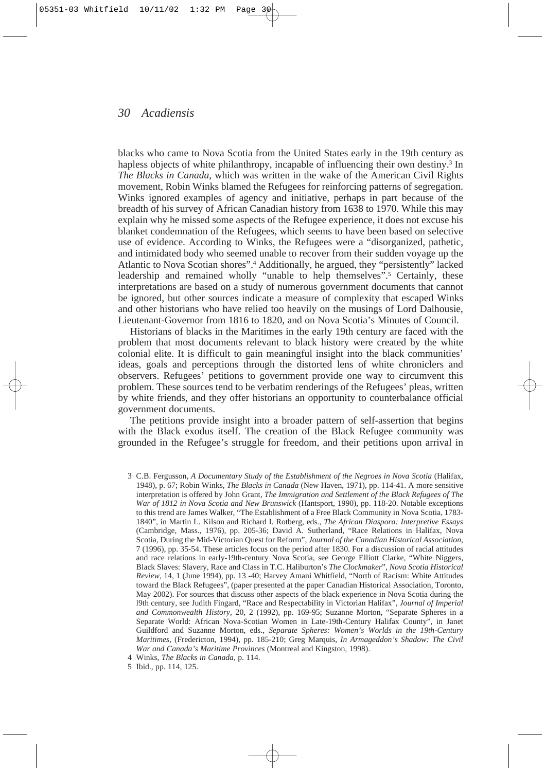blacks who came to Nova Scotia from the United States early in the 19th century as hapless objects of white philanthropy, incapable of influencing their own destiny.<sup>3</sup> In *The Blacks in Canada*, which was written in the wake of the American Civil Rights movement, Robin Winks blamed the Refugees for reinforcing patterns of segregation. Winks ignored examples of agency and initiative, perhaps in part because of the breadth of his survey of African Canadian history from 1638 to 1970. While this may explain why he missed some aspects of the Refugee experience, it does not excuse his blanket condemnation of the Refugees, which seems to have been based on selective use of evidence. According to Winks, the Refugees were a "disorganized, pathetic, and intimidated body who seemed unable to recover from their sudden voyage up the Atlantic to Nova Scotian shores".4 Additionally, he argued, they "persistently" lacked leadership and remained wholly "unable to help themselves".<sup>5</sup> Certainly, these interpretations are based on a study of numerous government documents that cannot be ignored, but other sources indicate a measure of complexity that escaped Winks and other historians who have relied too heavily on the musings of Lord Dalhousie, Lieutenant-Governor from 1816 to 1820, and on Nova Scotia's Minutes of Council.

Historians of blacks in the Maritimes in the early 19th century are faced with the problem that most documents relevant to black history were created by the white colonial elite. It is difficult to gain meaningful insight into the black communities' ideas, goals and perceptions through the distorted lens of white chroniclers and observers. Refugees' petitions to government provide one way to circumvent this problem. These sources tend to be verbatim renderings of the Refugees' pleas, written by white friends, and they offer historians an opportunity to counterbalance official government documents.

The petitions provide insight into a broader pattern of self-assertion that begins with the Black exodus itself. The creation of the Black Refugee community was grounded in the Refugee's struggle for freedom, and their petitions upon arrival in

<sup>3</sup> C.B. Fergusson, *A Documentary Study of the Establishment of the Negroes in Nova Scotia* (Halifax, 1948), p. 67; Robin Winks, *The Blacks in Canada* (New Haven, 1971), pp. 114-41. A more sensitive interpretation is offered by John Grant, *The Immigration and Settlement of the Black Refugees of The War of 1812 in Nova Scotia and New Brunswick* (Hantsport, 1990), pp. 118-20. Notable exceptions to this trend are James Walker, "The Establishment of a Free Black Community in Nova Scotia, 1783- 1840", in Martin L. Kilson and Richard I. Rotberg, eds., *The African Diaspora: Interpretive Essays* (Cambridge, Mass., 1976), pp. 205-36; David A. Sutherland, "Race Relations in Halifax, Nova Scotia, During the Mid-Victorian Quest for Reform", *Journal of the Canadian Historical Association,* 7 (1996), pp. 35-54. These articles focus on the period after 1830. For a discussion of racial attitudes and race relations in early-19th-century Nova Scotia, see George Elliott Clarke, "White Niggers, Black Slaves: Slavery, Race and Class in T.C. Haliburton's *The Clockmaker*", *Nova Scotia Historical Review,* 14, 1 (June 1994), pp. 13 -40; Harvey Amani Whitfield, "North of Racism: White Attitudes toward the Black Refugees", (paper presented at the paper Canadian Historical Association, Toronto, May 2002). For sources that discuss other aspects of the black experience in Nova Scotia during the l9th century, see Judith Fingard, "Race and Respectability in Victorian Halifax", *Journal of Imperial and Commonwealth History,* 20, 2 (1992), pp. 169-95; Suzanne Morton, "Separate Spheres in a Separate World: African Nova-Scotian Women in Late-19th-Century Halifax County", in Janet Guildford and Suzanne Morton, eds., *Separate Spheres: Women's Worlds in the 19th-Century Maritimes*, (Fredericton, 1994), pp. 185-210; Greg Marquis, *In Armageddon's Shadow: The Civil War and Canada's Maritime Provinces* (Montreal and Kingston, 1998).

<sup>4</sup> Winks, *The Blacks in Canada*, p. 114.

<sup>5</sup> Ibid., pp. 114, 125.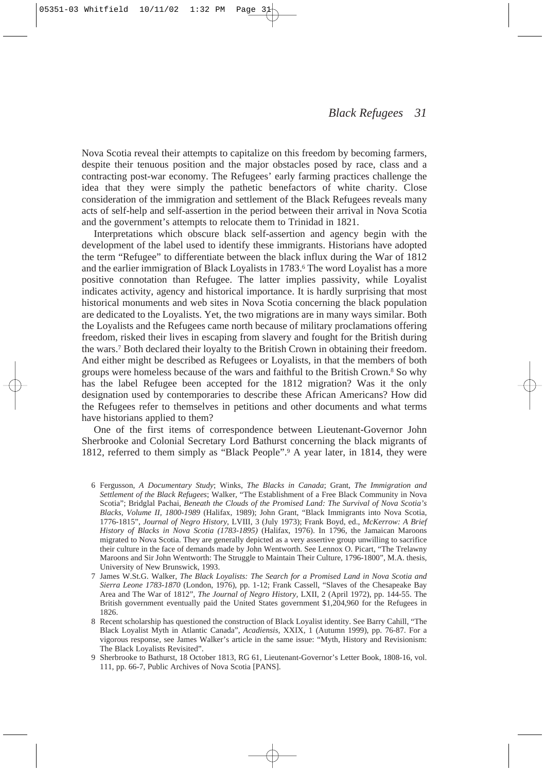Nova Scotia reveal their attempts to capitalize on this freedom by becoming farmers, despite their tenuous position and the major obstacles posed by race, class and a contracting post-war economy. The Refugees' early farming practices challenge the idea that they were simply the pathetic benefactors of white charity. Close consideration of the immigration and settlement of the Black Refugees reveals many acts of self-help and self-assertion in the period between their arrival in Nova Scotia and the government's attempts to relocate them to Trinidad in 1821.

Interpretations which obscure black self-assertion and agency begin with the development of the label used to identify these immigrants. Historians have adopted the term "Refugee" to differentiate between the black influx during the War of 1812 and the earlier immigration of Black Loyalists in 1783.6 The word Loyalist has a more positive connotation than Refugee. The latter implies passivity, while Loyalist indicates activity, agency and historical importance. It is hardly surprising that most historical monuments and web sites in Nova Scotia concerning the black population are dedicated to the Loyalists. Yet, the two migrations are in many ways similar. Both the Loyalists and the Refugees came north because of military proclamations offering freedom, risked their lives in escaping from slavery and fought for the British during the wars.7 Both declared their loyalty to the British Crown in obtaining their freedom. And either might be described as Refugees or Loyalists, in that the members of both groups were homeless because of the wars and faithful to the British Crown.8 So why has the label Refugee been accepted for the 1812 migration? Was it the only designation used by contemporaries to describe these African Americans? How did the Refugees refer to themselves in petitions and other documents and what terms have historians applied to them?

One of the first items of correspondence between Lieutenant-Governor John Sherbrooke and Colonial Secretary Lord Bathurst concerning the black migrants of 1812, referred to them simply as "Black People".9 A year later, in 1814, they were

- 7 James W.St.G. Walker, *The Black Loyalists: The Search for a Promised Land in Nova Scotia and Sierra Leone 1783-1870* (London, 1976), pp. 1-12; Frank Cassell, "Slaves of the Chesapeake Bay Area and The War of 1812", *The Journal of Negro History,* LXII, 2 (April 1972), pp. 144-55. The British government eventually paid the United States government \$1,204,960 for the Refugees in 1826.
- 8 Recent scholarship has questioned the construction of Black Loyalist identity. See Barry Cahill, "The Black Loyalist Myth in Atlantic Canada", *Acadiensis,* XXIX, 1 (Autumn 1999), pp. 76-87. For a vigorous response, see James Walker's article in the same issue: "Myth, History and Revisionism: The Black Loyalists Revisited".

<sup>6</sup> Fergusson, *A Documentary Study*; Winks, *The Blacks in Canada*; Grant, *The Immigration and Settlement of the Black Refugees*; Walker, "The Establishment of a Free Black Community in Nova Scotia"; Bridglal Pachai, *Beneath the Clouds of the Promised Land: The Survival of Nova Scotia's Blacks, Volume II, 1800-1989* (Halifax, 1989); John Grant, "Black Immigrants into Nova Scotia, 1776-1815", *Journal of Negro History*, LVIII, 3 (July 1973); Frank Boyd, ed., *McKerrow: A Brief History of Blacks in Nova Scotia (1783-1895)* (Halifax, 1976). In 1796, the Jamaican Maroons migrated to Nova Scotia. They are generally depicted as a very assertive group unwilling to sacrifice their culture in the face of demands made by John Wentworth. See Lennox O. Picart, "The Trelawny Maroons and Sir John Wentworth: The Struggle to Maintain Their Culture, 1796-1800", M.A. thesis, University of New Brunswick, 1993.

<sup>9</sup> Sherbrooke to Bathurst, 18 October 1813, RG 61, Lieutenant-Governor's Letter Book, 1808-16, vol. 111, pp. 66-7, Public Archives of Nova Scotia [PANS].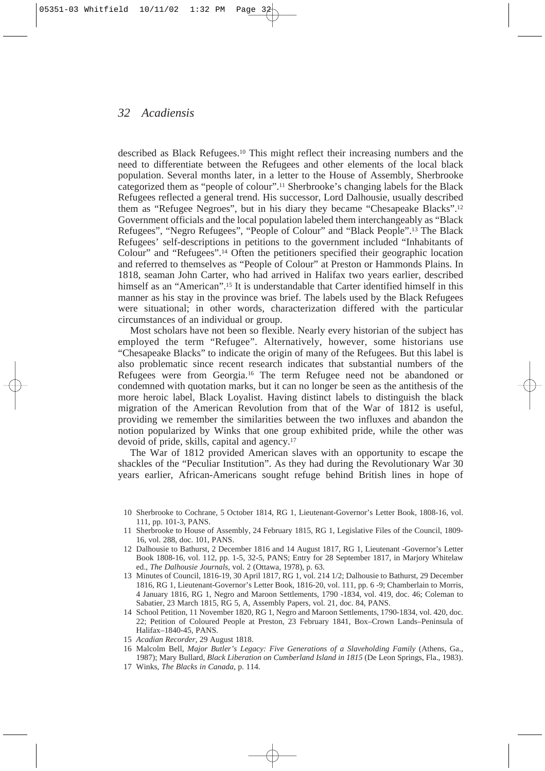described as Black Refugees.10 This might reflect their increasing numbers and the need to differentiate between the Refugees and other elements of the local black population. Several months later, in a letter to the House of Assembly, Sherbrooke categorized them as "people of colour".11 Sherbrooke's changing labels for the Black Refugees reflected a general trend. His successor, Lord Dalhousie, usually described them as "Refugee Negroes", but in his diary they became "Chesapeake Blacks".12 Government officials and the local population labeled them interchangeably as "Black Refugees", "Negro Refugees", "People of Colour" and "Black People".13 The Black Refugees' self-descriptions in petitions to the government included "Inhabitants of Colour" and "Refugees".14 Often the petitioners specified their geographic location and referred to themselves as "People of Colour" at Preston or Hammonds Plains. In 1818, seaman John Carter, who had arrived in Halifax two years earlier, described himself as an "American".<sup>15</sup> It is understandable that Carter identified himself in this manner as his stay in the province was brief. The labels used by the Black Refugees were situational; in other words, characterization differed with the particular circumstances of an individual or group.

Most scholars have not been so flexible. Nearly every historian of the subject has employed the term "Refugee". Alternatively, however, some historians use "Chesapeake Blacks" to indicate the origin of many of the Refugees. But this label is also problematic since recent research indicates that substantial numbers of the Refugees were from Georgia.16 The term Refugee need not be abandoned or condemned with quotation marks, but it can no longer be seen as the antithesis of the more heroic label, Black Loyalist. Having distinct labels to distinguish the black migration of the American Revolution from that of the War of 1812 is useful, providing we remember the similarities between the two influxes and abandon the notion popularized by Winks that one group exhibited pride, while the other was devoid of pride, skills, capital and agency.17

The War of 1812 provided American slaves with an opportunity to escape the shackles of the "Peculiar Institution". As they had during the Revolutionary War 30 years earlier, African-Americans sought refuge behind British lines in hope of

- 13 Minutes of Council, 1816-19, 30 April 1817, RG 1, vol. 214 1/2; Dalhousie to Bathurst, 29 December 1816, RG 1, Lieutenant-Governor's Letter Book, 1816-20, vol. 111, pp. 6 -9; Chamberlain to Morris, 4 January 1816, RG 1, Negro and Maroon Settlements, 1790 -1834, vol. 419, doc. 46; Coleman to Sabatier, 23 March 1815, RG 5, A, Assembly Papers, vol. 21, doc. 84, PANS.
- 14 School Petition, 11 November 1820, RG 1, Negro and Maroon Settlements, 1790-1834, vol. 420, doc. 22; Petition of Coloured People at Preston, 23 February 1841, Box–Crown Lands–Peninsula of Halifax–1840-45, PANS.

- 16 Malcolm Bell, *Major Butler's Legacy: Five Generations of a Slaveholding Family* (Athens, Ga., 1987); Mary Bullard, *Black Liberation on Cumberland Island in 1815* (De Leon Springs, Fla., 1983).
- 17 Winks, *The Blacks in Canada*, p. 114.

<sup>10</sup> Sherbrooke to Cochrane, 5 October 1814, RG 1, Lieutenant-Governor's Letter Book, 1808-16, vol. 111, pp. 101-3, PANS.

<sup>11</sup> Sherbrooke to House of Assembly, 24 February 1815, RG 1, Legislative Files of the Council, 1809- 16, vol. 288, doc. 101, PANS.

<sup>12</sup> Dalhousie to Bathurst, 2 December 1816 and 14 August 1817, RG 1, Lieutenant -Governor's Letter Book 1808-16, vol. 112, pp. 1-5, 32-5, PANS; Entry for 28 September 1817, in Marjory Whitelaw ed., *The Dalhousie Journals,* vol. 2 (Ottawa, 1978), p. 63.

<sup>15</sup> *Acadian Recorder,* 29 August 1818.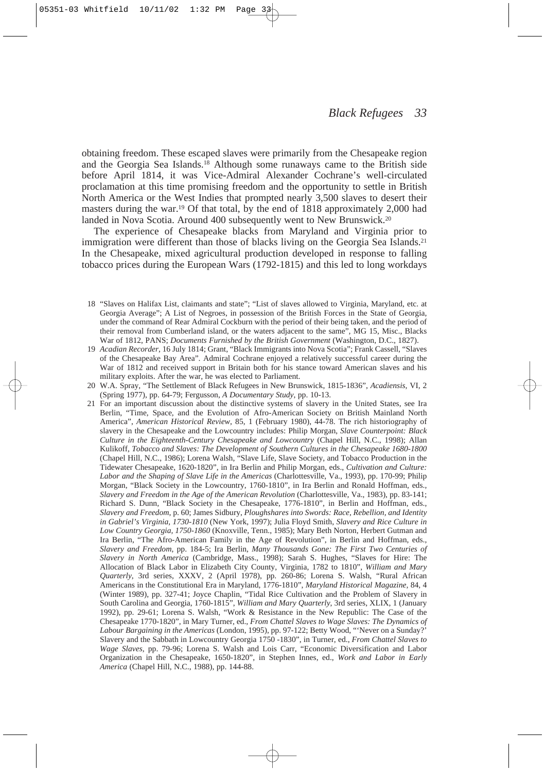obtaining freedom. These escaped slaves were primarily from the Chesapeake region and the Georgia Sea Islands.18 Although some runaways came to the British side before April 1814, it was Vice-Admiral Alexander Cochrane's well-circulated proclamation at this time promising freedom and the opportunity to settle in British North America or the West Indies that prompted nearly 3,500 slaves to desert their masters during the war.19 Of that total, by the end of 1818 approximately 2,000 had landed in Nova Scotia. Around 400 subsequently went to New Brunswick.<sup>20</sup>

The experience of Chesapeake blacks from Maryland and Virginia prior to immigration were different than those of blacks living on the Georgia Sea Islands.<sup>21</sup> In the Chesapeake, mixed agricultural production developed in response to falling tobacco prices during the European Wars (1792-1815) and this led to long workdays

- 19 *Acadian Recorder*, 16 July 1814; Grant, "Black Immigrants into Nova Scotia"; Frank Cassell, "Slaves of the Chesapeake Bay Area". Admiral Cochrane enjoyed a relatively successful career during the War of 1812 and received support in Britain both for his stance toward American slaves and his military exploits. After the war, he was elected to Parliament.
- 20 W.A. Spray, "The Settlement of Black Refugees in New Brunswick, 1815-1836", *Acadiensis,* VI, 2 (Spring 1977), pp. 64-79; Fergusson, *A Documentary Study*, pp. 10-13.
- 21 For an important discussion about the distinctive systems of slavery in the United States, see Ira Berlin, "Time, Space, and the Evolution of Afro-American Society on British Mainland North America", *American Historical Review*, 85, 1 (February 1980), 44-78. The rich historiography of slavery in the Chesapeake and the Lowcountry includes: Philip Morgan, *Slave Counterpoint: Black Culture in the Eighteenth-Century Chesapeake and Lowcountry* (Chapel Hill, N.C., 1998); Allan Kulikoff, *Tobacco and Slaves: The Development of Southern Cultures in the Chesapeake 1680-1800* (Chapel Hill, N.C., 1986); Lorena Walsh, "Slave Life, Slave Society, and Tobacco Production in the Tidewater Chesapeake, 1620-1820", in Ira Berlin and Philip Morgan, eds., *Cultivation and Culture: Labor and the Shaping of Slave Life in the Americas* (Charlottesville, Va., 1993), pp. 170-99; Philip Morgan, "Black Society in the Lowcountry, 1760-1810", in Ira Berlin and Ronald Hoffman, eds., *Slavery and Freedom in the Age of the American Revolution* (Charlottesville, Va., 1983), pp. 83-141; Richard S. Dunn, "Black Society in the Chesapeake, 1776-1810", in Berlin and Hoffman, eds., *Slavery and Freedom*, p. 60; James Sidbury, *Ploughshares into Swords: Race, Rebellion, and Identity in Gabriel's Virginia, 1730-1810* (New York, 1997); Julia Floyd Smith, *Slavery and Rice Culture in Low Country Georgia, 1750-1860* (Knoxville, Tenn., 1985); Mary Beth Norton, Herbert Gutman and Ira Berlin, "The Afro-American Family in the Age of Revolution", in Berlin and Hoffman, eds., *Slavery and Freedom*, pp. 184-5; Ira Berlin, *Many Thousands Gone: The First Two Centuries of Slavery in North America* (Cambridge, Mass., 1998); Sarah S. Hughes, "Slaves for Hire: The Allocation of Black Labor in Elizabeth City County, Virginia, 1782 to 1810", *William and Mary Quarterly*, 3rd series, XXXV, 2 (April 1978), pp. 260-86; Lorena S. Walsh, "Rural African Americans in the Constitutional Era in Maryland, 1776-1810", *Maryland Historical Magazine,* 84, 4 (Winter 1989), pp. 327-41; Joyce Chaplin, "Tidal Rice Cultivation and the Problem of Slavery in South Carolina and Georgia, 1760-1815", *William and Mary Quarterly*, 3rd series, XLIX, 1 (January 1992), pp. 29-61; Lorena S. Walsh, "Work & Resistance in the New Republic: The Case of the Chesapeake 1770-1820", in Mary Turner, ed., *From Chattel Slaves to Wage Slaves: The Dynamics of Labour Bargaining in the Americas* (London, 1995), pp. 97-122; Betty Wood, "'Never on a Sunday?' Slavery and the Sabbath in Lowcountry Georgia 1750 -1830", in Turner, ed., *From Chattel Slaves to Wage Slaves,* pp. 79-96; Lorena S. Walsh and Lois Carr, "Economic Diversification and Labor Organization in the Chesapeake, 1650-1820", in Stephen Innes, ed., *Work and Labor in Early America* (Chapel Hill, N.C., 1988), pp. 144-88.

<sup>18</sup> "Slaves on Halifax List, claimants and state"; "List of slaves allowed to Virginia, Maryland, etc. at Georgia Average"; A List of Negroes, in possession of the British Forces in the State of Georgia, under the command of Rear Admiral Cockburn with the period of their being taken, and the period of their removal from Cumberland island, or the waters adjacent to the same"*,* MG 15, Misc., Blacks War of 1812, PANS; *Documents Furnished by the British Government* (Washington, D.C., 1827).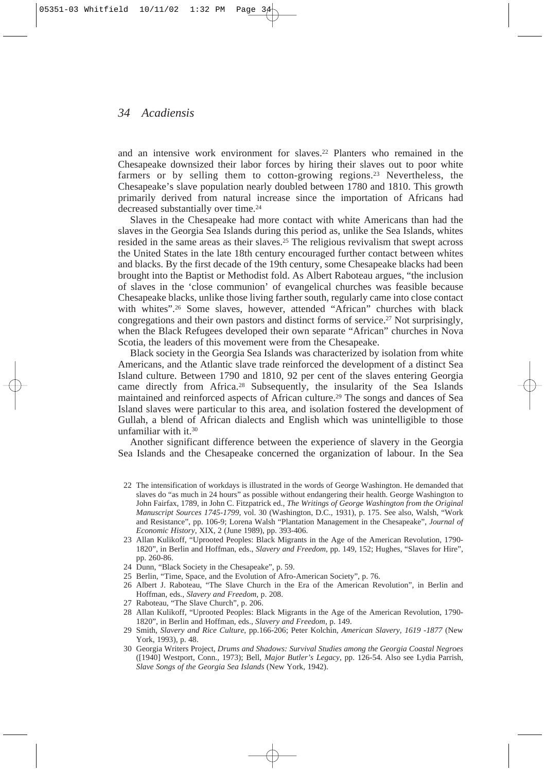and an intensive work environment for slaves.22 Planters who remained in the Chesapeake downsized their labor forces by hiring their slaves out to poor white farmers or by selling them to cotton-growing regions.23 Nevertheless, the Chesapeake's slave population nearly doubled between 1780 and 1810. This growth primarily derived from natural increase since the importation of Africans had decreased substantially over time.24

Slaves in the Chesapeake had more contact with white Americans than had the slaves in the Georgia Sea Islands during this period as, unlike the Sea Islands, whites resided in the same areas as their slaves.25 The religious revivalism that swept across the United States in the late 18th century encouraged further contact between whites and blacks. By the first decade of the 19th century, some Chesapeake blacks had been brought into the Baptist or Methodist fold. As Albert Raboteau argues, "the inclusion of slaves in the 'close communion' of evangelical churches was feasible because Chesapeake blacks, unlike those living farther south, regularly came into close contact with whites".26 Some slaves, however, attended "African" churches with black congregations and their own pastors and distinct forms of service.27 Not surprisingly, when the Black Refugees developed their own separate "African" churches in Nova Scotia, the leaders of this movement were from the Chesapeake.

Black society in the Georgia Sea Islands was characterized by isolation from white Americans, and the Atlantic slave trade reinforced the development of a distinct Sea Island culture. Between 1790 and 1810, 92 per cent of the slaves entering Georgia came directly from Africa.28 Subsequently, the insularity of the Sea Islands maintained and reinforced aspects of African culture.29 The songs and dances of Sea Island slaves were particular to this area, and isolation fostered the development of Gullah, a blend of African dialects and English which was unintelligible to those unfamiliar with it.30

Another significant difference between the experience of slavery in the Georgia Sea Islands and the Chesapeake concerned the organization of labour. In the Sea

- 22 The intensification of workdays is illustrated in the words of George Washington. He demanded that slaves do "as much in 24 hours" as possible without endangering their health. George Washington to John Fairfax, 1789, in John C. Fitzpatrick ed., *The Writings of George Washington from the Original Manuscript Sources 1745-1799,* vol. 30 (Washington, D.C., 1931), p. 175. See also, Walsh, "Work and Resistance", pp. 106-9; Lorena Walsh "Plantation Management in the Chesapeake", *Journal of Economic History*, XIX, 2 (June 1989), pp. 393-406.
- 23 Allan Kulikoff, "Uprooted Peoples: Black Migrants in the Age of the American Revolution, 1790- 1820", in Berlin and Hoffman, eds., *Slavery and Freedom*, pp. 149, 152; Hughes, "Slaves for Hire", pp. 260-86.
- 24 Dunn, "Black Society in the Chesapeake", p. 59.
- 25 Berlin, "Time, Space, and the Evolution of Afro-American Society", p. 76.
- 26 Albert J. Raboteau, "The Slave Church in the Era of the American Revolution", in Berlin and Hoffman, eds., *Slavery and Freedom*, p. 208.
- 27 Raboteau, "The Slave Church", p. 206.
- 28 Allan Kulikoff, "Uprooted Peoples: Black Migrants in the Age of the American Revolution, 1790- 1820", in Berlin and Hoffman, eds., *Slavery and Freedom*, p. 149.
- 29 Smith, *Slavery and Rice Culture*, pp.166-206; Peter Kolchin, *American Slavery, 1619 -1877* (New York, 1993), p. 48.
- 30 Georgia Writers Project, *Drums and Shadows: Survival Studies among the Georgia Coastal Negroes* ([1940] Westport, Conn., 1973); Bell, *Major Butler's Legacy*, pp. 126-54. Also see Lydia Parrish, *Slave Songs of the Georgia Sea Islands* (New York, 1942).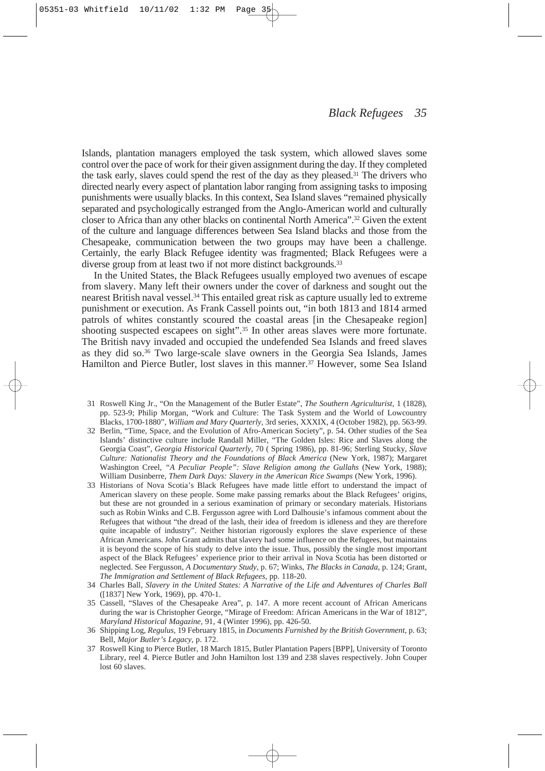Islands, plantation managers employed the task system, which allowed slaves some control over the pace of work for their given assignment during the day. If they completed the task early, slaves could spend the rest of the day as they pleased.31 The drivers who directed nearly every aspect of plantation labor ranging from assigning tasks to imposing punishments were usually blacks. In this context, Sea Island slaves "remained physically separated and psychologically estranged from the Anglo-American world and culturally closer to Africa than any other blacks on continental North America".32 Given the extent of the culture and language differences between Sea Island blacks and those from the Chesapeake, communication between the two groups may have been a challenge. Certainly, the early Black Refugee identity was fragmented; Black Refugees were a diverse group from at least two if not more distinct backgrounds.<sup>33</sup>

In the United States, the Black Refugees usually employed two avenues of escape from slavery. Many left their owners under the cover of darkness and sought out the nearest British naval vessel.34 This entailed great risk as capture usually led to extreme punishment or execution. As Frank Cassell points out, "in both 1813 and 1814 armed patrols of whites constantly scoured the coastal areas [in the Chesapeake region] shooting suspected escapees on sight".35 In other areas slaves were more fortunate. The British navy invaded and occupied the undefended Sea Islands and freed slaves as they did so.36 Two large-scale slave owners in the Georgia Sea Islands, James Hamilton and Pierce Butler, lost slaves in this manner.37 However, some Sea Island

- 31 Roswell King Jr., "On the Management of the Butler Estate", *The Southern Agriculturist,* 1 (1828), pp. 523-9; Philip Morgan, "Work and Culture: The Task System and the World of Lowcountry Blacks, 1700-1880", *William and Mary Quarterly*, 3rd series, XXXIX, 4 (October 1982), pp. 563-99.
- 32 Berlin, "Time, Space, and the Evolution of Afro-American Society", p. 54. Other studies of the Sea Islands' distinctive culture include Randall Miller, "The Golden Isles: Rice and Slaves along the Georgia Coast", *Georgia Historical Quarterly,* 70 ( Spring 1986), pp. 81-96; Sterling Stucky, *Slave Culture: Nationalist Theory and the Foundations of Black America* (New York, 1987); Margaret Washington Creel, *"A Peculiar People": Slave Religion among the Gullahs* (New York, 1988); William Dusinberre, *Them Dark Days: Slavery in the American Rice Swamps* (New York, 1996).
- 33 Historians of Nova Scotia's Black Refugees have made little effort to understand the impact of American slavery on these people. Some make passing remarks about the Black Refugees' origins, but these are not grounded in a serious examination of primary or secondary materials. Historians such as Robin Winks and C.B. Fergusson agree with Lord Dalhousie's infamous comment about the Refugees that without "the dread of the lash, their idea of freedom is idleness and they are therefore quite incapable of industry". Neither historian rigorously explores the slave experience of these African Americans. John Grant admits that slavery had some influence on the Refugees, but maintains it is beyond the scope of his study to delve into the issue. Thus, possibly the single most important aspect of the Black Refugees' experience prior to their arrival in Nova Scotia has been distorted or neglected. See Fergusson, *A Documentary Study,* p. 67; Winks, *The Blacks in Canada*, p. 124; Grant, *The Immigration and Settlement of Black Refugees*, pp. 118-20.
- 34 Charles Ball, *Slavery in the United States: A Narrative of the Life and Adventures of Charles Ball* ([1837] New York, 1969), pp. 470-1.
- 35 Cassell, "Slaves of the Chesapeake Area", p. 147. A more recent account of African Americans during the war is Christopher George, "Mirage of Freedom: African Americans in the War of 1812", *Maryland Historical Magazine,* 91, 4 (Winter 1996), pp. 426-50.
- 36 Shipping Log, *Regulus*, 19 February 1815, in *Documents Furnished by the British Government*, p. 63; Bell, *Major Butler's Legacy*, p. 172.
- 37 Roswell King to Pierce Butler, 18 March 1815, Butler Plantation Papers [BPP], University of Toronto Library, reel 4. Pierce Butler and John Hamilton lost 139 and 238 slaves respectively. John Couper lost 60 slaves.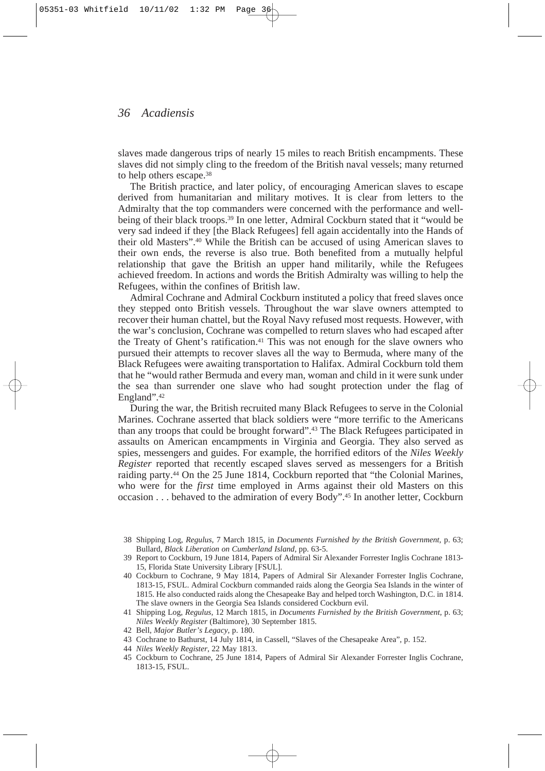slaves made dangerous trips of nearly 15 miles to reach British encampments. These slaves did not simply cling to the freedom of the British naval vessels; many returned to help others escape.38

The British practice, and later policy, of encouraging American slaves to escape derived from humanitarian and military motives. It is clear from letters to the Admiralty that the top commanders were concerned with the performance and wellbeing of their black troops.39 In one letter, Admiral Cockburn stated that it "would be very sad indeed if they [the Black Refugees] fell again accidentally into the Hands of their old Masters".40 While the British can be accused of using American slaves to their own ends, the reverse is also true. Both benefited from a mutually helpful relationship that gave the British an upper hand militarily, while the Refugees achieved freedom. In actions and words the British Admiralty was willing to help the Refugees, within the confines of British law.

Admiral Cochrane and Admiral Cockburn instituted a policy that freed slaves once they stepped onto British vessels. Throughout the war slave owners attempted to recover their human chattel, but the Royal Navy refused most requests. However, with the war's conclusion, Cochrane was compelled to return slaves who had escaped after the Treaty of Ghent's ratification.41 This was not enough for the slave owners who pursued their attempts to recover slaves all the way to Bermuda, where many of the Black Refugees were awaiting transportation to Halifax. Admiral Cockburn told them that he "would rather Bermuda and every man, woman and child in it were sunk under the sea than surrender one slave who had sought protection under the flag of England".42

During the war, the British recruited many Black Refugees to serve in the Colonial Marines. Cochrane asserted that black soldiers were "more terrific to the Americans than any troops that could be brought forward".43 The Black Refugees participated in assaults on American encampments in Virginia and Georgia. They also served as spies, messengers and guides. For example, the horrified editors of the *Niles Weekly Register* reported that recently escaped slaves served as messengers for a British raiding party.44 On the 25 June 1814, Cockburn reported that "the Colonial Marines, who were for the *first* time employed in Arms against their old Masters on this occasion . . . behaved to the admiration of every Body".45 In another letter, Cockburn

- 43 Cochrane to Bathurst, 14 July 1814, in Cassell, "Slaves of the Chesapeake Area", p. 152.
- 44 *Niles Weekly Register*, 22 May 1813.

<sup>38</sup> Shipping Log, *Regulus*, 7 March 1815, in *Documents Furnished by the British Government,* p. 63; Bullard, *Black Liberation on Cumberland Island,* pp. 63-5.

<sup>39</sup> Report to Cockburn, 19 June 1814, Papers of Admiral Sir Alexander Forrester Inglis Cochrane 1813- 15, Florida State University Library [FSUL].

<sup>40</sup> Cockburn to Cochrane, 9 May 1814, Papers of Admiral Sir Alexander Forrester Inglis Cochrane, 1813-15, FSUL. Admiral Cockburn commanded raids along the Georgia Sea Islands in the winter of 1815. He also conducted raids along the Chesapeake Bay and helped torch Washington, D.C. in 1814. The slave owners in the Georgia Sea Islands considered Cockburn evil.

<sup>41</sup> Shipping Log, *Regulus*, 12 March 1815, in *Documents Furnished by the British Government*, p. 63; *Niles Weekly Register* (Baltimore), 30 September 1815.

<sup>42</sup> Bell, *Major Butler's Legacy*, p. 180.

<sup>45</sup> Cockburn to Cochrane, 25 June 1814, Papers of Admiral Sir Alexander Forrester Inglis Cochrane, 1813-15, FSUL.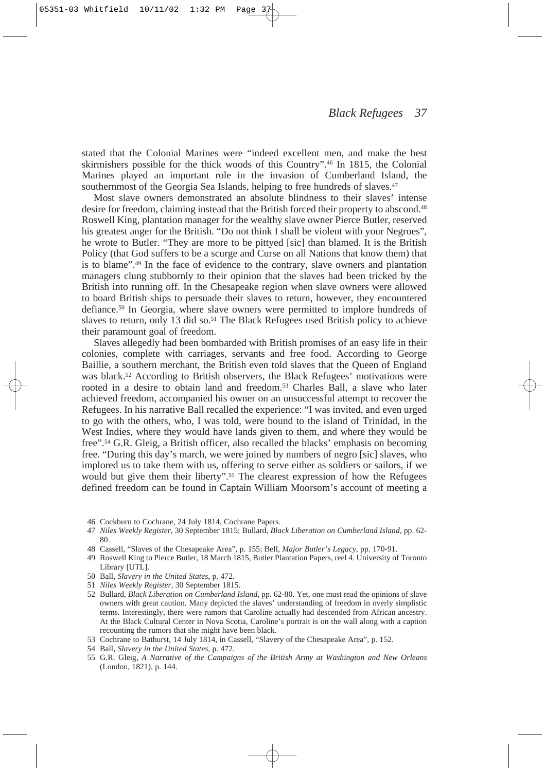stated that the Colonial Marines were "indeed excellent men, and make the best skirmishers possible for the thick woods of this Country".46 In 1815, the Colonial Marines played an important role in the invasion of Cumberland Island, the southernmost of the Georgia Sea Islands, helping to free hundreds of slaves.<sup>47</sup>

Most slave owners demonstrated an absolute blindness to their slaves' intense desire for freedom, claiming instead that the British forced their property to abscond.<sup>48</sup> Roswell King, plantation manager for the wealthy slave owner Pierce Butler, reserved his greatest anger for the British. "Do not think I shall be violent with your Negroes", he wrote to Butler. "They are more to be pittyed [sic] than blamed. It is the British Policy (that God suffers to be a scurge and Curse on all Nations that know them) that is to blame".49 In the face of evidence to the contrary, slave owners and plantation managers clung stubbornly to their opinion that the slaves had been tricked by the British into running off. In the Chesapeake region when slave owners were allowed to board British ships to persuade their slaves to return, however, they encountered defiance.50 In Georgia, where slave owners were permitted to implore hundreds of slaves to return, only 13 did so.<sup>51</sup> The Black Refugees used British policy to achieve their paramount goal of freedom.

Slaves allegedly had been bombarded with British promises of an easy life in their colonies, complete with carriages, servants and free food. According to George Baillie, a southern merchant, the British even told slaves that the Queen of England was black.52 According to British observers, the Black Refugees' motivations were rooted in a desire to obtain land and freedom.53 Charles Ball, a slave who later achieved freedom, accompanied his owner on an unsuccessful attempt to recover the Refugees. In his narrative Ball recalled the experience: "I was invited, and even urged to go with the others, who, I was told, were bound to the island of Trinidad, in the West Indies, where they would have lands given to them, and where they would be free".54 G.R. Gleig, a British officer, also recalled the blacks' emphasis on becoming free. "During this day's march, we were joined by numbers of negro [sic] slaves, who implored us to take them with us, offering to serve either as soldiers or sailors, if we would but give them their liberty".<sup>55</sup> The clearest expression of how the Refugees defined freedom can be found in Captain William Moorsom's account of meeting a

- 46 Cockburn to Cochrane, 24 July 1814, Cochrane Papers.
- 47 *Niles Weekly Register*, 30 September 1815; Bullard, *Black Liberation on Cumberland Island*, pp. 62- 80.
- 48 Cassell, "Slaves of the Chesapeake Area", p. 155; Bell, *Major Butler's Legacy*, pp. 170-91.
- 49 Roswell King to Pierce Butler, 18 March 1815, Butler Plantation Papers, reel 4. University of Toronto Library [UTL].
- 50 Ball, *Slavery in the United States*, p. 472.
- 51 *Niles Weekly Register*, 30 September 1815.
- 52 Bullard, *Black Liberation on Cumberland Island*, pp. 62-80. Yet, one must read the opinions of slave owners with great caution. Many depicted the slaves' understanding of freedom in overly simplistic terms. Interestingly, there were rumors that Caroline actually had descended from African ancestry. At the Black Cultural Center in Nova Scotia, Caroline's portrait is on the wall along with a caption recounting the rumors that she might have been black.
- 53 Cochrane to Bathurst, 14 July 1814, in Cassell, "Slavery of the Chesapeake Area", p. 152.
- 54 Ball, *Slavery in the United States*, p. 472.
- 55 G.R. Gleig, *A Narrative of the Campaigns of the British Army at Washington and New Orleans* (London, 1821), p. 144.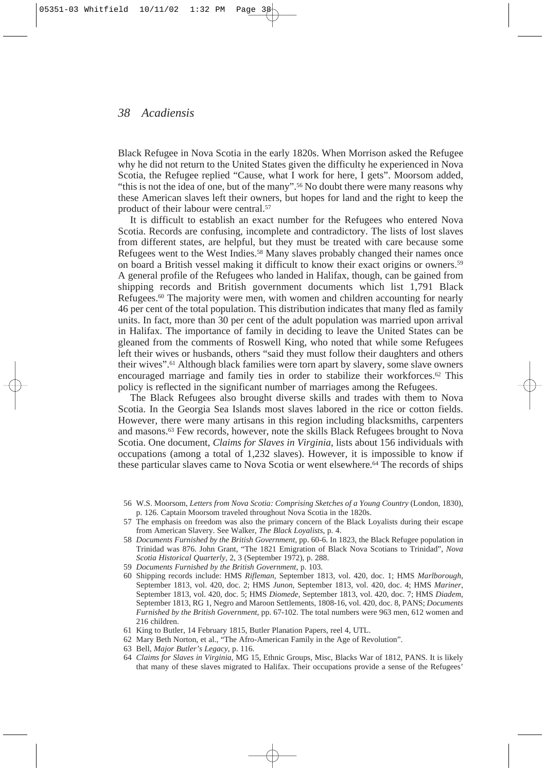Black Refugee in Nova Scotia in the early 1820s. When Morrison asked the Refugee why he did not return to the United States given the difficulty he experienced in Nova Scotia, the Refugee replied "Cause, what I work for here, I gets". Moorsom added, "this is not the idea of one, but of the many".<sup>56</sup> No doubt there were many reasons why these American slaves left their owners, but hopes for land and the right to keep the product of their labour were central.57

It is difficult to establish an exact number for the Refugees who entered Nova Scotia. Records are confusing, incomplete and contradictory. The lists of lost slaves from different states, are helpful, but they must be treated with care because some Refugees went to the West Indies.58 Many slaves probably changed their names once on board a British vessel making it difficult to know their exact origins or owners.59 A general profile of the Refugees who landed in Halifax, though, can be gained from shipping records and British government documents which list 1,791 Black Refugees.<sup>60</sup> The majority were men, with women and children accounting for nearly 46 per cent of the total population. This distribution indicates that many fled as family units. In fact, more than 30 per cent of the adult population was married upon arrival in Halifax. The importance of family in deciding to leave the United States can be gleaned from the comments of Roswell King, who noted that while some Refugees left their wives or husbands, others "said they must follow their daughters and others their wives".61 Although black families were torn apart by slavery, some slave owners encouraged marriage and family ties in order to stabilize their workforces.62 This policy is reflected in the significant number of marriages among the Refugees.

The Black Refugees also brought diverse skills and trades with them to Nova Scotia. In the Georgia Sea Islands most slaves labored in the rice or cotton fields. However, there were many artisans in this region including blacksmiths, carpenters and masons.63 Few records, however, note the skills Black Refugees brought to Nova Scotia. One document, *Claims for Slaves in Virginia*, lists about 156 individuals with occupations (among a total of 1,232 slaves). However, it is impossible to know if these particular slaves came to Nova Scotia or went elsewhere.64 The records of ships

- 57 The emphasis on freedom was also the primary concern of the Black Loyalists during their escape from American Slavery. See Walker, *The Black Loyalists*, p. 4.
- 58 *Documents Furnished by the British Government*, pp. 60-6. In 1823, the Black Refugee population in Trinidad was 876. John Grant, "The 1821 Emigration of Black Nova Scotians to Trinidad", *Nova Scotia Historical Quarterly*, 2, 3 (September 1972), p. 288.
- 59 *Documents Furnished by the British Government*, p. 103.
- 60 Shipping records include: HMS *Rifleman*, September 1813, vol. 420, doc. 1; HMS *Marlborough*, September 1813, vol. 420, doc. 2; HMS *Junon*, September 1813, vol. 420, doc. 4; HMS *Mariner*, September 1813, vol. 420, doc. 5; HMS *Diomede*, September 1813, vol. 420, doc. 7; HMS *Diadem*, September 1813, RG 1, Negro and Maroon Settlements, 1808-16, vol. 420, doc. 8, PANS; *Documents Furnished by the British Government,* pp. 67-102. The total numbers were 963 men, 612 women and 216 children.
- 61 King to Butler, 14 February 1815, Butler Planation Papers, reel 4, UTL.
- 62 Mary Beth Norton, et al., "The Afro-American Family in the Age of Revolution".
- 63 Bell, *Major Butler's Legacy*, p. 116.
- 64 *Claims for Slaves in Virginia*, MG 15, Ethnic Groups, Misc, Blacks War of 1812, PANS. It is likely that many of these slaves migrated to Halifax. Their occupations provide a sense of the Refugees'

<sup>56</sup> W.S. Moorsom, *Letters from Nova Scotia: Comprising Sketches of a Young Country* (London, 1830), p. 126. Captain Moorsom traveled throughout Nova Scotia in the 1820s.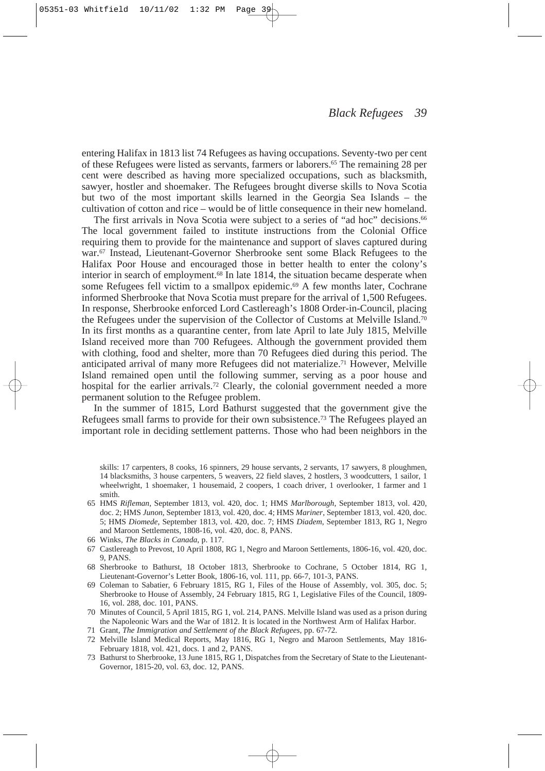entering Halifax in 1813 list 74 Refugees as having occupations. Seventy-two per cent of these Refugees were listed as servants, farmers or laborers.65 The remaining 28 per cent were described as having more specialized occupations, such as blacksmith, sawyer, hostler and shoemaker. The Refugees brought diverse skills to Nova Scotia but two of the most important skills learned in the Georgia Sea Islands – the cultivation of cotton and rice – would be of little consequence in their new homeland.

The first arrivals in Nova Scotia were subject to a series of "ad hoc" decisions.<sup>66</sup> The local government failed to institute instructions from the Colonial Office requiring them to provide for the maintenance and support of slaves captured during war.67 Instead, Lieutenant-Governor Sherbrooke sent some Black Refugees to the Halifax Poor House and encouraged those in better health to enter the colony's interior in search of employment.<sup>68</sup> In late 1814, the situation became desperate when some Refugees fell victim to a smallpox epidemic.<sup>69</sup> A few months later, Cochrane informed Sherbrooke that Nova Scotia must prepare for the arrival of 1,500 Refugees. In response, Sherbrooke enforced Lord Castlereagh's 1808 Order-in-Council, placing the Refugees under the supervision of the Collector of Customs at Melville Island.70 In its first months as a quarantine center, from late April to late July 1815, Melville Island received more than 700 Refugees. Although the government provided them with clothing, food and shelter, more than 70 Refugees died during this period. The anticipated arrival of many more Refugees did not materialize.<sup>71</sup> However, Melville Island remained open until the following summer, serving as a poor house and hospital for the earlier arrivals.<sup>72</sup> Clearly, the colonial government needed a more permanent solution to the Refugee problem.

In the summer of 1815, Lord Bathurst suggested that the government give the Refugees small farms to provide for their own subsistence.73 The Refugees played an important role in deciding settlement patterns. Those who had been neighbors in the

- 65 HMS *Rifleman*, September 1813, vol. 420, doc. 1; HMS *Marlborough*, September 1813, vol. 420, doc. 2; HMS *Junon*, September 1813, vol. 420, doc. 4; HMS *Mariner*, September 1813, vol. 420, doc. 5; HMS *Diomede*, September 1813, vol. 420, doc. 7; HMS *Diadem*, September 1813, RG 1, Negro and Maroon Settlements, 1808-16, vol. 420, doc. 8, PANS.
- 66 Winks, *The Blacks in Canada*, p. 117.
- 67 Castlereagh to Prevost, 10 April 1808, RG 1, Negro and Maroon Settlements, 1806-16, vol. 420, doc. 9, PANS.
- 68 Sherbrooke to Bathurst, 18 October 1813, Sherbrooke to Cochrane, 5 October 1814, RG 1, Lieutenant-Governor's Letter Book, 1806-16, vol. 111, pp. 66-7, 101-3, PANS.
- 69 Coleman to Sabatier, 6 February 1815, RG 1, Files of the House of Assembly, vol. 305, doc. 5; Sherbrooke to House of Assembly, 24 February 1815, RG 1, Legislative Files of the Council, 1809- 16, vol. 288, doc. 101, PANS.
- 70 Minutes of Council, 5 April 1815, RG 1, vol. 214, PANS. Melville Island was used as a prison during the Napoleonic Wars and the War of 1812. It is located in the Northwest Arm of Halifax Harbor.
- 71 Grant, *The Immigration and Settlement of the Black Refugees*, pp. 67-72.
- 72 Melville Island Medical Reports, May 1816, RG 1, Negro and Maroon Settlements, May 1816- February 1818, vol. 421, docs. 1 and 2, PANS.
- 73 Bathurst to Sherbrooke, 13 June 1815, RG 1, Dispatches from the Secretary of State to the Lieutenant-Governor, 1815-20, vol. 63, doc. 12, PANS.

skills: 17 carpenters, 8 cooks, 16 spinners, 29 house servants, 2 servants, 17 sawyers, 8 ploughmen, 14 blacksmiths, 3 house carpenters, 5 weavers, 22 field slaves, 2 hostlers, 3 woodcutters, 1 sailor, 1 wheelwright, 1 shoemaker, 1 housemaid, 2 coopers, 1 coach driver, 1 overlooker, 1 farmer and 1 smith.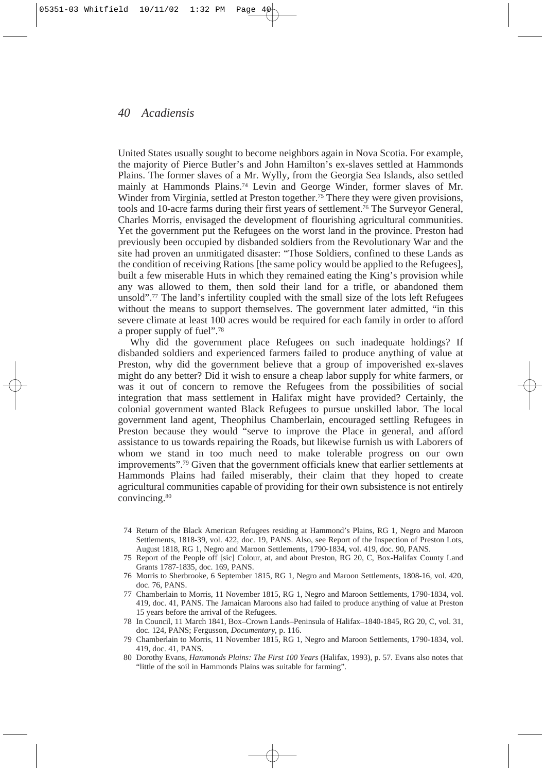United States usually sought to become neighbors again in Nova Scotia. For example, the majority of Pierce Butler's and John Hamilton's ex-slaves settled at Hammonds Plains. The former slaves of a Mr. Wylly, from the Georgia Sea Islands, also settled mainly at Hammonds Plains.74 Levin and George Winder, former slaves of Mr. Winder from Virginia, settled at Preston together.<sup>75</sup> There they were given provisions, tools and 10-acre farms during their first years of settlement.76 The Surveyor General, Charles Morris, envisaged the development of flourishing agricultural communities. Yet the government put the Refugees on the worst land in the province. Preston had previously been occupied by disbanded soldiers from the Revolutionary War and the site had proven an unmitigated disaster: "Those Soldiers, confined to these Lands as the condition of receiving Rations [the same policy would be applied to the Refugees], built a few miserable Huts in which they remained eating the King's provision while any was allowed to them, then sold their land for a trifle, or abandoned them unsold".77 The land's infertility coupled with the small size of the lots left Refugees without the means to support themselves. The government later admitted, "in this severe climate at least 100 acres would be required for each family in order to afford a proper supply of fuel".78

Why did the government place Refugees on such inadequate holdings? If disbanded soldiers and experienced farmers failed to produce anything of value at Preston, why did the government believe that a group of impoverished ex-slaves might do any better? Did it wish to ensure a cheap labor supply for white farmers, or was it out of concern to remove the Refugees from the possibilities of social integration that mass settlement in Halifax might have provided? Certainly, the colonial government wanted Black Refugees to pursue unskilled labor. The local government land agent, Theophilus Chamberlain, encouraged settling Refugees in Preston because they would "serve to improve the Place in general, and afford assistance to us towards repairing the Roads, but likewise furnish us with Laborers of whom we stand in too much need to make tolerable progress on our own improvements".79 Given that the government officials knew that earlier settlements at Hammonds Plains had failed miserably, their claim that they hoped to create agricultural communities capable of providing for their own subsistence is not entirely convincing.80

- 74 Return of the Black American Refugees residing at Hammond's Plains, RG 1, Negro and Maroon Settlements, 1818-39, vol. 422, doc. 19, PANS. Also, see Report of the Inspection of Preston Lots, August 1818, RG 1, Negro and Maroon Settlements, 1790-1834, vol. 419, doc. 90, PANS.
- 75 Report of the People off [sic] Colour, at, and about Preston, RG 20, C, Box-Halifax County Land Grants 1787-1835, doc. 169, PANS.
- 76 Morris to Sherbrooke, 6 September 1815, RG 1, Negro and Maroon Settlements, 1808-16, vol. 420, doc. 76, PANS.
- 77 Chamberlain to Morris, 11 November 1815, RG 1, Negro and Maroon Settlements, 1790-1834, vol. 419, doc. 41, PANS. The Jamaican Maroons also had failed to produce anything of value at Preston 15 years before the arrival of the Refugees.
- 78 In Council, 11 March 1841, Box–Crown Lands–Peninsula of Halifax–1840-1845, RG 20, C, vol. 31, doc. 124, PANS; Fergusson, *Documentary*, p. 116.
- 79 Chamberlain to Morris, 11 November 1815, RG 1, Negro and Maroon Settlements, 1790-1834, vol. 419, doc. 41, PANS.
- 80 Dorothy Evans, *Hammonds Plains: The First 100 Years* (Halifax, 1993), p. 57. Evans also notes that "little of the soil in Hammonds Plains was suitable for farming".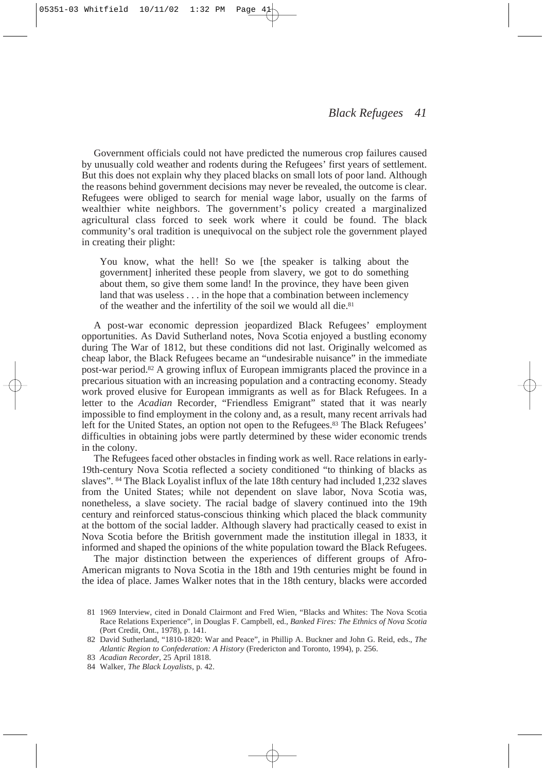Government officials could not have predicted the numerous crop failures caused by unusually cold weather and rodents during the Refugees' first years of settlement. But this does not explain why they placed blacks on small lots of poor land. Although the reasons behind government decisions may never be revealed, the outcome is clear. Refugees were obliged to search for menial wage labor, usually on the farms of wealthier white neighbors. The government's policy created a marginalized agricultural class forced to seek work where it could be found. The black community's oral tradition is unequivocal on the subject role the government played in creating their plight:

You know, what the hell! So we [the speaker is talking about the government] inherited these people from slavery, we got to do something about them, so give them some land! In the province, they have been given land that was useless . . . in the hope that a combination between inclemency of the weather and the infertility of the soil we would all die.<sup>81</sup>

A post-war economic depression jeopardized Black Refugees' employment opportunities. As David Sutherland notes, Nova Scotia enjoyed a bustling economy during The War of 1812, but these conditions did not last. Originally welcomed as cheap labor, the Black Refugees became an "undesirable nuisance" in the immediate post-war period.82 A growing influx of European immigrants placed the province in a precarious situation with an increasing population and a contracting economy. Steady work proved elusive for European immigrants as well as for Black Refugees. In a letter to the *Acadian* Recorder, "Friendless Emigrant" stated that it was nearly impossible to find employment in the colony and, as a result, many recent arrivals had left for the United States, an option not open to the Refugees.<sup>83</sup> The Black Refugees' difficulties in obtaining jobs were partly determined by these wider economic trends in the colony.

The Refugees faced other obstacles in finding work as well. Race relations in early-19th-century Nova Scotia reflected a society conditioned "to thinking of blacks as slaves". <sup>84</sup> The Black Loyalist influx of the late 18th century had included 1,232 slaves from the United States; while not dependent on slave labor, Nova Scotia was, nonetheless, a slave society. The racial badge of slavery continued into the 19th century and reinforced status-conscious thinking which placed the black community at the bottom of the social ladder. Although slavery had practically ceased to exist in Nova Scotia before the British government made the institution illegal in 1833, it informed and shaped the opinions of the white population toward the Black Refugees.

The major distinction between the experiences of different groups of Afro-American migrants to Nova Scotia in the 18th and 19th centuries might be found in the idea of place. James Walker notes that in the 18th century, blacks were accorded

<sup>81</sup> 1969 Interview, cited in Donald Clairmont and Fred Wien, "Blacks and Whites: The Nova Scotia Race Relations Experience", in Douglas F. Campbell, ed., *Banked Fires: The Ethnics of Nova Scotia* (Port Credit, Ont., 1978), p. 141.

<sup>82</sup> David Sutherland, "1810-1820: War and Peace", in Phillip A. Buckner and John G. Reid, eds., *The Atlantic Region to Confederation: A History* (Fredericton and Toronto, 1994), p. 256.

<sup>83</sup> *Acadian Recorder,* 25 April 1818.

<sup>84</sup> Walker, *The Black Loyalists*, p. 42.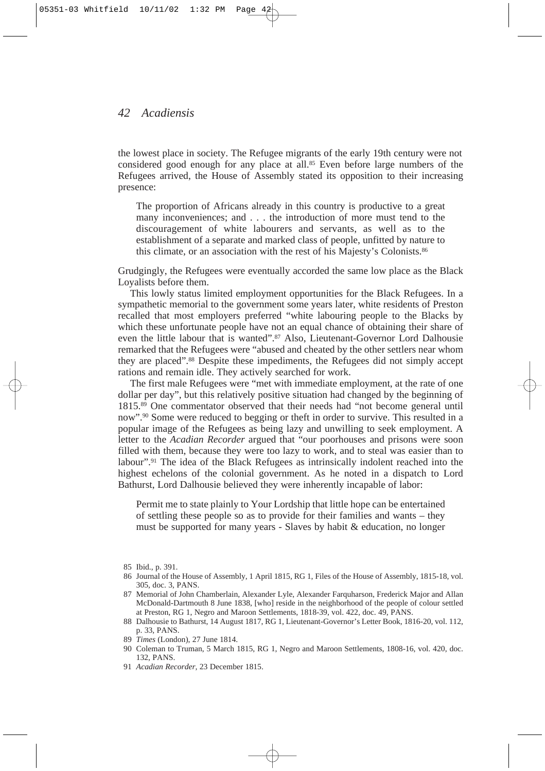the lowest place in society. The Refugee migrants of the early 19th century were not considered good enough for any place at all.85 Even before large numbers of the Refugees arrived, the House of Assembly stated its opposition to their increasing presence:

The proportion of Africans already in this country is productive to a great many inconveniences; and . . . the introduction of more must tend to the discouragement of white labourers and servants, as well as to the establishment of a separate and marked class of people, unfitted by nature to this climate, or an association with the rest of his Majesty's Colonists.86

Grudgingly, the Refugees were eventually accorded the same low place as the Black Loyalists before them.

This lowly status limited employment opportunities for the Black Refugees. In a sympathetic memorial to the government some years later, white residents of Preston recalled that most employers preferred "white labouring people to the Blacks by which these unfortunate people have not an equal chance of obtaining their share of even the little labour that is wanted".87 Also, Lieutenant-Governor Lord Dalhousie remarked that the Refugees were "abused and cheated by the other settlers near whom they are placed".88 Despite these impediments, the Refugees did not simply accept rations and remain idle. They actively searched for work.

The first male Refugees were "met with immediate employment, at the rate of one dollar per day", but this relatively positive situation had changed by the beginning of 1815.89 One commentator observed that their needs had "not become general until now".90 Some were reduced to begging or theft in order to survive. This resulted in a popular image of the Refugees as being lazy and unwilling to seek employment. A letter to the *Acadian Recorder* argued that "our poorhouses and prisons were soon filled with them, because they were too lazy to work, and to steal was easier than to labour".91 The idea of the Black Refugees as intrinsically indolent reached into the highest echelons of the colonial government. As he noted in a dispatch to Lord Bathurst, Lord Dalhousie believed they were inherently incapable of labor:

Permit me to state plainly to Your Lordship that little hope can be entertained of settling these people so as to provide for their families and wants – they must be supported for many years - Slaves by habit & education, no longer

- 89 *Times* (London), 27 June 1814.
- 90 Coleman to Truman, 5 March 1815, RG 1, Negro and Maroon Settlements, 1808-16, vol. 420, doc. 132, PANS.
- 91 *Acadian Recorder,* 23 December 1815.

<sup>85</sup> Ibid., p. 391.

<sup>86</sup> Journal of the House of Assembly, 1 April 1815, RG 1, Files of the House of Assembly, 1815-18, vol. 305, doc. 3, PANS.

<sup>87</sup> Memorial of John Chamberlain, Alexander Lyle, Alexander Farquharson, Frederick Major and Allan McDonald-Dartmouth 8 June 1838, [who] reside in the neighborhood of the people of colour settled at Preston, RG 1, Negro and Maroon Settlements, 1818-39, vol. 422, doc. 49, PANS.

<sup>88</sup> Dalhousie to Bathurst, 14 August 1817, RG 1, Lieutenant-Governor's Letter Book, 1816-20, vol. 112, p. 33, PANS.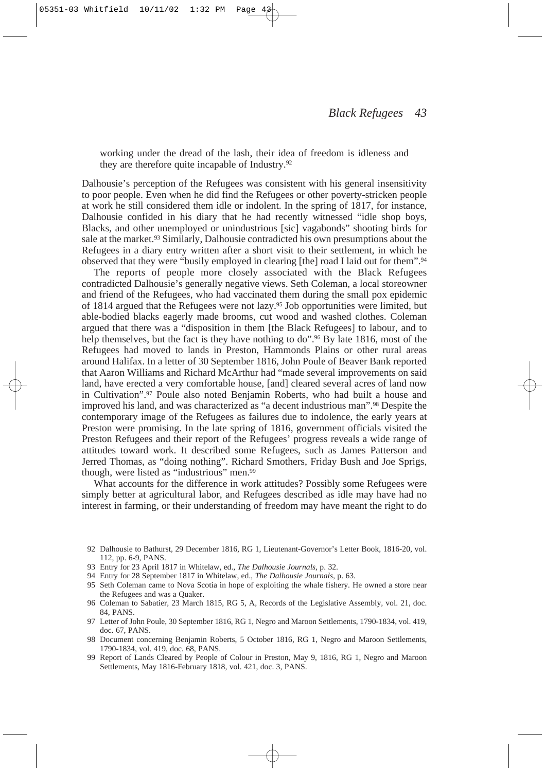working under the dread of the lash, their idea of freedom is idleness and they are therefore quite incapable of Industry.92

Dalhousie's perception of the Refugees was consistent with his general insensitivity to poor people. Even when he did find the Refugees or other poverty-stricken people at work he still considered them idle or indolent. In the spring of 1817, for instance, Dalhousie confided in his diary that he had recently witnessed "idle shop boys, Blacks, and other unemployed or unindustrious [sic] vagabonds" shooting birds for sale at the market.<sup>93</sup> Similarly, Dalhousie contradicted his own presumptions about the Refugees in a diary entry written after a short visit to their settlement, in which he observed that they were "busily employed in clearing [the] road I laid out for them".94

The reports of people more closely associated with the Black Refugees contradicted Dalhousie's generally negative views. Seth Coleman, a local storeowner and friend of the Refugees, who had vaccinated them during the small pox epidemic of 1814 argued that the Refugees were not lazy.95 Job opportunities were limited, but able-bodied blacks eagerly made brooms, cut wood and washed clothes. Coleman argued that there was a "disposition in them [the Black Refugees] to labour, and to help themselves, but the fact is they have nothing to do".<sup>96</sup> By late 1816, most of the Refugees had moved to lands in Preston, Hammonds Plains or other rural areas around Halifax. In a letter of 30 September 1816, John Poule of Beaver Bank reported that Aaron Williams and Richard McArthur had "made several improvements on said land, have erected a very comfortable house, [and] cleared several acres of land now in Cultivation".97 Poule also noted Benjamin Roberts, who had built a house and improved his land, and was characterized as "a decent industrious man".98 Despite the contemporary image of the Refugees as failures due to indolence, the early years at Preston were promising. In the late spring of 1816, government officials visited the Preston Refugees and their report of the Refugees' progress reveals a wide range of attitudes toward work. It described some Refugees, such as James Patterson and Jerred Thomas, as "doing nothing". Richard Smothers, Friday Bush and Joe Sprigs, though, were listed as "industrious" men.99

What accounts for the difference in work attitudes? Possibly some Refugees were simply better at agricultural labor, and Refugees described as idle may have had no interest in farming, or their understanding of freedom may have meant the right to do

- 92 Dalhousie to Bathurst, 29 December 1816, RG 1, Lieutenant-Governor's Letter Book, 1816-20, vol. 112, pp. 6-9, PANS.
- 93 Entry for 23 April 1817 in Whitelaw, ed., *The Dalhousie Journals*, p. 32.
- 94 Entry for 28 September 1817 in Whitelaw, ed., *The Dalhousie Journals,* p. 63.
- 95 Seth Coleman came to Nova Scotia in hope of exploiting the whale fishery. He owned a store near the Refugees and was a Quaker.
- 96 Coleman to Sabatier, 23 March 1815, RG 5, A, Records of the Legislative Assembly, vol. 21, doc. 84, PANS.
- 97 Letter of John Poule, 30 September 1816, RG 1, Negro and Maroon Settlements, 1790-1834, vol. 419, doc. 67, PANS.
- 98 Document concerning Benjamin Roberts, 5 October 1816, RG 1, Negro and Maroon Settlements, 1790-1834, vol. 419, doc. 68, PANS.
- 99 Report of Lands Cleared by People of Colour in Preston, May 9, 1816, RG 1, Negro and Maroon Settlements, May 1816-February 1818, vol. 421, doc. 3, PANS.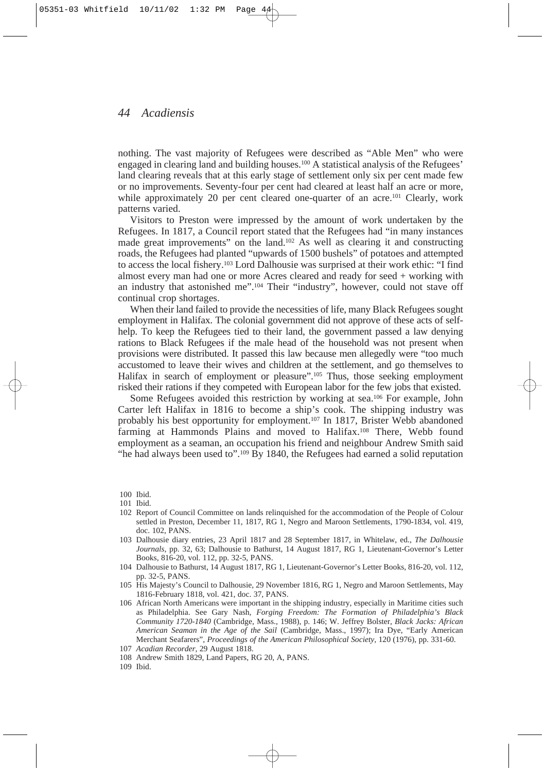nothing. The vast majority of Refugees were described as "Able Men" who were engaged in clearing land and building houses.100 A statistical analysis of the Refugees' land clearing reveals that at this early stage of settlement only six per cent made few or no improvements. Seventy-four per cent had cleared at least half an acre or more, while approximately 20 per cent cleared one-quarter of an acre.<sup>101</sup> Clearly, work patterns varied.

Visitors to Preston were impressed by the amount of work undertaken by the Refugees. In 1817, a Council report stated that the Refugees had "in many instances made great improvements" on the land.102 As well as clearing it and constructing roads, the Refugees had planted "upwards of 1500 bushels" of potatoes and attempted to access the local fishery.103 Lord Dalhousie was surprised at their work ethic: "I find almost every man had one or more Acres cleared and ready for seed + working with an industry that astonished me".104 Their "industry", however, could not stave off continual crop shortages.

When their land failed to provide the necessities of life, many Black Refugees sought employment in Halifax. The colonial government did not approve of these acts of selfhelp. To keep the Refugees tied to their land, the government passed a law denying rations to Black Refugees if the male head of the household was not present when provisions were distributed. It passed this law because men allegedly were "too much accustomed to leave their wives and children at the settlement, and go themselves to Halifax in search of employment or pleasure".<sup>105</sup> Thus, those seeking employment risked their rations if they competed with European labor for the few jobs that existed.

Some Refugees avoided this restriction by working at sea.106 For example, John Carter left Halifax in 1816 to become a ship's cook. The shipping industry was probably his best opportunity for employment.107 In 1817, Brister Webb abandoned farming at Hammonds Plains and moved to Halifax.108 There, Webb found employment as a seaman, an occupation his friend and neighbour Andrew Smith said "he had always been used to".109 By 1840, the Refugees had earned a solid reputation

- 102 Report of Council Committee on lands relinquished for the accommodation of the People of Colour settled in Preston, December 11, 1817, RG 1, Negro and Maroon Settlements, 1790-1834, vol. 419, doc. 102, PANS.
- 103 Dalhousie diary entries, 23 April 1817 and 28 September 1817, in Whitelaw, ed., *The Dalhousie Journals*, pp. 32, 63; Dalhousie to Bathurst, 14 August 1817, RG 1, Lieutenant-Governor's Letter Books, 816-20, vol. 112, pp. 32-5, PANS.
- 104 Dalhousie to Bathurst, 14 August 1817, RG 1, Lieutenant-Governor's Letter Books, 816-20, vol. 112, pp. 32-5, PANS.
- 105 His Majesty's Council to Dalhousie, 29 November 1816, RG 1, Negro and Maroon Settlements, May 1816-February 1818, vol. 421, doc. 37, PANS.
- 106 African North Americans were important in the shipping industry, especially in Maritime cities such as Philadelphia. See Gary Nash*, Forging Freedom: The Formation of Philadelphia's Black Community 1720-1840* (Cambridge, Mass., 1988), p. 146; W. Jeffrey Bolster, *Black Jacks: African American Seaman in the Age of the Sail* (Cambridge, Mass., 1997); Ira Dye, "Early American Merchant Seafarers", *Proceedings of the American Philosophical Society,* 120 (1976), pp. 331-60.
- 107 *Acadian Recorder,* 29 August 1818.
- 108 Andrew Smith 1829, Land Papers, RG 20, A, PANS.
- 109 Ibid.

<sup>100</sup> Ibid.

<sup>101</sup> Ibid.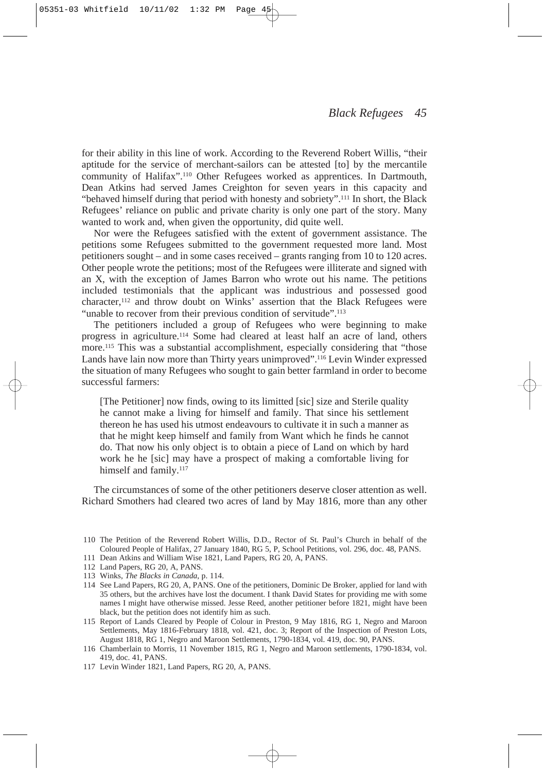for their ability in this line of work. According to the Reverend Robert Willis, "their aptitude for the service of merchant-sailors can be attested [to] by the mercantile community of Halifax".110 Other Refugees worked as apprentices. In Dartmouth, Dean Atkins had served James Creighton for seven years in this capacity and "behaved himself during that period with honesty and sobriety".111 In short, the Black Refugees' reliance on public and private charity is only one part of the story. Many wanted to work and, when given the opportunity, did quite well.

Nor were the Refugees satisfied with the extent of government assistance. The petitions some Refugees submitted to the government requested more land. Most petitioners sought – and in some cases received – grants ranging from 10 to 120 acres. Other people wrote the petitions; most of the Refugees were illiterate and signed with an X, with the exception of James Barron who wrote out his name. The petitions included testimonials that the applicant was industrious and possessed good  $\alpha$ character,<sup>112</sup> and throw doubt on Winks' assertion that the Black Refugees were "unable to recover from their previous condition of servitude".<sup>113</sup>

The petitioners included a group of Refugees who were beginning to make progress in agriculture.114 Some had cleared at least half an acre of land, others more.115 This was a substantial accomplishment, especially considering that "those Lands have lain now more than Thirty years unimproved".116 Levin Winder expressed the situation of many Refugees who sought to gain better farmland in order to become successful farmers:

[The Petitioner] now finds, owing to its limitted [sic] size and Sterile quality he cannot make a living for himself and family. That since his settlement thereon he has used his utmost endeavours to cultivate it in such a manner as that he might keep himself and family from Want which he finds he cannot do. That now his only object is to obtain a piece of Land on which by hard work he he [sic] may have a prospect of making a comfortable living for himself and family.<sup>117</sup>

The circumstances of some of the other petitioners deserve closer attention as well. Richard Smothers had cleared two acres of land by May 1816, more than any other

- 110 The Petition of the Reverend Robert Willis, D.D., Rector of St. Paul's Church in behalf of the Coloured People of Halifax, 27 January 1840, RG 5, P, School Petitions, vol. 296, doc. 48, PANS.
- 111 Dean Atkins and William Wise 1821, Land Papers, RG 20, A, PANS.
- 112 Land Papers, RG 20, A, PANS.
- 113 Winks, *The Blacks in Canada*, p. 114.
- 114 See Land Papers, RG 20, A, PANS. One of the petitioners, Dominic De Broker, applied for land with 35 others, but the archives have lost the document. I thank David States for providing me with some names I might have otherwise missed. Jesse Reed, another petitioner before 1821, might have been black, but the petition does not identify him as such.
- 115 Report of Lands Cleared by People of Colour in Preston, 9 May 1816, RG 1, Negro and Maroon Settlements, May 1816-February 1818, vol. 421, doc. 3; Report of the Inspection of Preston Lots, August 1818, RG 1, Negro and Maroon Settlements, 1790-1834, vol. 419, doc. 90, PANS.
- 116 Chamberlain to Morris, 11 November 1815, RG 1, Negro and Maroon settlements, 1790-1834, vol. 419, doc. 41, PANS.
- 117 Levin Winder 1821, Land Papers, RG 20, A, PANS.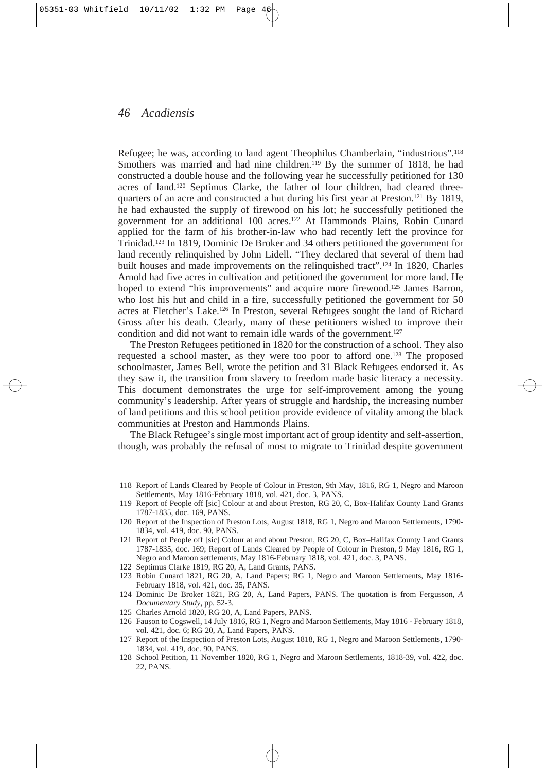Refugee; he was, according to land agent Theophilus Chamberlain, "industrious".118 Smothers was married and had nine children.<sup>119</sup> By the summer of 1818, he had constructed a double house and the following year he successfully petitioned for 130 acres of land.120 Septimus Clarke, the father of four children, had cleared threequarters of an acre and constructed a hut during his first year at Preston.121 By 1819, he had exhausted the supply of firewood on his lot; he successfully petitioned the government for an additional 100 acres.122 At Hammonds Plains, Robin Cunard applied for the farm of his brother-in-law who had recently left the province for Trinidad.123 In 1819, Dominic De Broker and 34 others petitioned the government for land recently relinquished by John Lidell. "They declared that several of them had built houses and made improvements on the relinquished tract".124 In 1820, Charles Arnold had five acres in cultivation and petitioned the government for more land. He hoped to extend "his improvements" and acquire more firewood.<sup>125</sup> James Barron, who lost his hut and child in a fire, successfully petitioned the government for 50 acres at Fletcher's Lake.126 In Preston, several Refugees sought the land of Richard Gross after his death. Clearly, many of these petitioners wished to improve their condition and did not want to remain idle wards of the government.<sup>127</sup>

The Preston Refugees petitioned in 1820 for the construction of a school. They also requested a school master, as they were too poor to afford one.128 The proposed schoolmaster, James Bell, wrote the petition and 31 Black Refugees endorsed it. As they saw it, the transition from slavery to freedom made basic literacy a necessity. This document demonstrates the urge for self-improvement among the young community's leadership. After years of struggle and hardship, the increasing number of land petitions and this school petition provide evidence of vitality among the black communities at Preston and Hammonds Plains.

The Black Refugee's single most important act of group identity and self-assertion, though, was probably the refusal of most to migrate to Trinidad despite government

- 120 Report of the Inspection of Preston Lots, August 1818, RG 1, Negro and Maroon Settlements, 1790- 1834, vol. 419, doc. 90, PANS.
- 121 Report of People off [sic] Colour at and about Preston, RG 20, C, Box–Halifax County Land Grants 1787-1835, doc. 169; Report of Lands Cleared by People of Colour in Preston, 9 May 1816, RG 1, Negro and Maroon settlements, May 1816-February 1818, vol. 421, doc. 3, PANS.
- 122 Septimus Clarke 1819, RG 20, A, Land Grants, PANS.
- 123 Robin Cunard 1821, RG 20, A, Land Papers; RG 1, Negro and Maroon Settlements, May 1816- February 1818, vol. 421, doc. 35, PANS.
- 124 Dominic De Broker 1821, RG 20, A, Land Papers, PANS. The quotation is from Fergusson, *A Documentary Study,* pp. 52-3.
- 125 Charles Arnold 1820, RG 20, A, Land Papers, PANS.
- 126 Fauson to Cogswell, 14 July 1816, RG 1, Negro and Maroon Settlements, May 1816 February 1818, vol. 421, doc. 6; RG 20, A, Land Papers, PANS.
- 127 Report of the Inspection of Preston Lots, August 1818, RG 1, Negro and Maroon Settlements, 1790- 1834, vol. 419, doc. 90, PANS.
- 128 School Petition, 11 November 1820, RG 1, Negro and Maroon Settlements, 1818-39, vol. 422, doc. 22, PANS.

<sup>118</sup> Report of Lands Cleared by People of Colour in Preston, 9th May, 1816, RG 1, Negro and Maroon Settlements, May 1816-February 1818, vol. 421, doc. 3, PANS.

<sup>119</sup> Report of People off [sic] Colour at and about Preston, RG 20, C, Box-Halifax County Land Grants 1787-1835, doc. 169, PANS.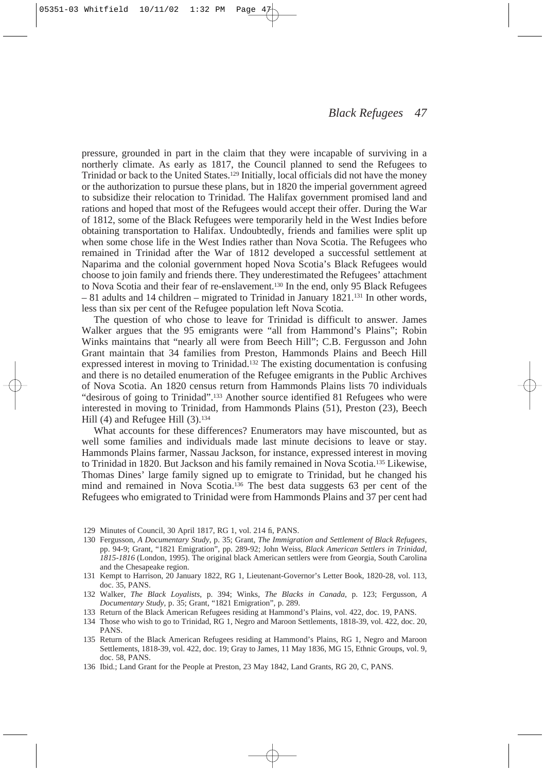pressure, grounded in part in the claim that they were incapable of surviving in a northerly climate. As early as 1817, the Council planned to send the Refugees to Trinidad or back to the United States.129 Initially, local officials did not have the money or the authorization to pursue these plans, but in 1820 the imperial government agreed to subsidize their relocation to Trinidad. The Halifax government promised land and rations and hoped that most of the Refugees would accept their offer. During the War of 1812, some of the Black Refugees were temporarily held in the West Indies before obtaining transportation to Halifax. Undoubtedly, friends and families were split up when some chose life in the West Indies rather than Nova Scotia. The Refugees who remained in Trinidad after the War of 1812 developed a successful settlement at Naparima and the colonial government hoped Nova Scotia's Black Refugees would choose to join family and friends there. They underestimated the Refugees' attachment to Nova Scotia and their fear of re-enslavement.130 In the end, only 95 Black Refugees – 81 adults and 14 children – migrated to Trinidad in January 1821.131 In other words, less than six per cent of the Refugee population left Nova Scotia.

The question of who chose to leave for Trinidad is difficult to answer. James Walker argues that the 95 emigrants were "all from Hammond's Plains"; Robin Winks maintains that "nearly all were from Beech Hill"; C.B. Fergusson and John Grant maintain that 34 families from Preston, Hammonds Plains and Beech Hill expressed interest in moving to Trinidad.132 The existing documentation is confusing and there is no detailed enumeration of the Refugee emigrants in the Public Archives of Nova Scotia. An 1820 census return from Hammonds Plains lists 70 individuals "desirous of going to Trinidad".133 Another source identified 81 Refugees who were interested in moving to Trinidad, from Hammonds Plains (51), Preston (23), Beech Hill (4) and Refugee Hill (3).<sup>134</sup>

What accounts for these differences? Enumerators may have miscounted, but as well some families and individuals made last minute decisions to leave or stay. Hammonds Plains farmer, Nassau Jackson, for instance, expressed interest in moving to Trinidad in 1820. But Jackson and his family remained in Nova Scotia.135 Likewise, Thomas Dines' large family signed up to emigrate to Trinidad, but he changed his mind and remained in Nova Scotia.136 The best data suggests 63 per cent of the Refugees who emigrated to Trinidad were from Hammonds Plains and 37 per cent had

- 129 Minutes of Council, 30 April 1817, RG 1, vol. 214 fi, PANS.
- 130 Fergusson, *A Documentary Study*, p. 35; Grant, *The Immigration and Settlement of Black Refugees*, pp. 94-9; Grant, "1821 Emigration", pp. 289-92; John Weiss, *Black American Settlers in Trinidad, 1815-1816* (London, 1995). The original black American settlers were from Georgia, South Carolina and the Chesapeake region.
- 131 Kempt to Harrison, 20 January 1822, RG 1, Lieutenant-Governor's Letter Book, 1820-28, vol. 113, doc. 35, PANS.
- 132 Walker, *The Black Loyalists*, p. 394; Winks, *The Blacks in Canada*, p. 123; Fergusson, *A Documentary Study*, p. 35; Grant, "1821 Emigration", p. 289.
- 133 Return of the Black American Refugees residing at Hammond's Plains, vol. 422, doc. 19, PANS.
- 134 Those who wish to go to Trinidad, RG 1, Negro and Maroon Settlements, 1818-39, vol. 422, doc. 20, PANS.
- 135 Return of the Black American Refugees residing at Hammond's Plains, RG 1, Negro and Maroon Settlements, 1818-39, vol. 422, doc. 19; Gray to James, 11 May 1836, MG 15, Ethnic Groups, vol. 9, doc. 58, PANS.
- 136 Ibid.; Land Grant for the People at Preston, 23 May 1842, Land Grants, RG 20, C, PANS.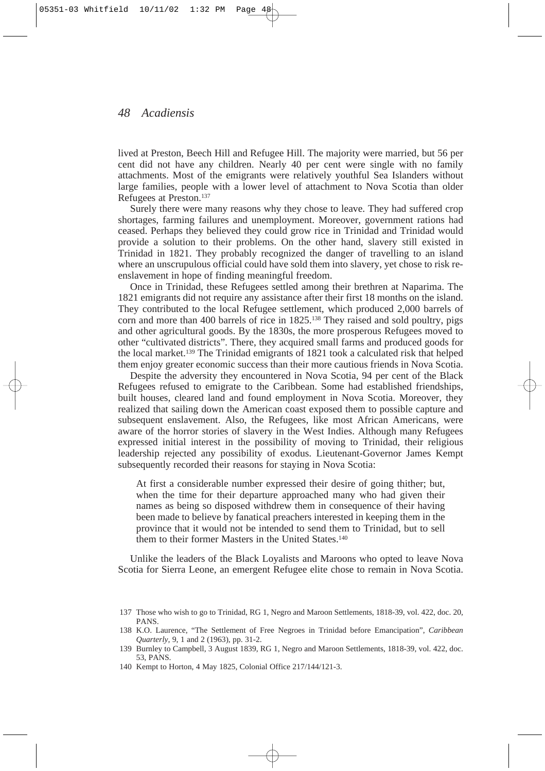lived at Preston, Beech Hill and Refugee Hill. The majority were married, but 56 per cent did not have any children. Nearly 40 per cent were single with no family attachments. Most of the emigrants were relatively youthful Sea Islanders without large families, people with a lower level of attachment to Nova Scotia than older Refugees at Preston.137

Surely there were many reasons why they chose to leave. They had suffered crop shortages, farming failures and unemployment. Moreover, government rations had ceased. Perhaps they believed they could grow rice in Trinidad and Trinidad would provide a solution to their problems. On the other hand, slavery still existed in Trinidad in 1821. They probably recognized the danger of travelling to an island where an unscrupulous official could have sold them into slavery, yet chose to risk reenslavement in hope of finding meaningful freedom.

Once in Trinidad, these Refugees settled among their brethren at Naparima. The 1821 emigrants did not require any assistance after their first 18 months on the island. They contributed to the local Refugee settlement, which produced 2,000 barrels of corn and more than 400 barrels of rice in 1825.138 They raised and sold poultry, pigs and other agricultural goods. By the 1830s, the more prosperous Refugees moved to other "cultivated districts". There, they acquired small farms and produced goods for the local market.139 The Trinidad emigrants of 1821 took a calculated risk that helped them enjoy greater economic success than their more cautious friends in Nova Scotia.

Despite the adversity they encountered in Nova Scotia, 94 per cent of the Black Refugees refused to emigrate to the Caribbean. Some had established friendships, built houses, cleared land and found employment in Nova Scotia. Moreover, they realized that sailing down the American coast exposed them to possible capture and subsequent enslavement. Also, the Refugees, like most African Americans, were aware of the horror stories of slavery in the West Indies. Although many Refugees expressed initial interest in the possibility of moving to Trinidad, their religious leadership rejected any possibility of exodus. Lieutenant-Governor James Kempt subsequently recorded their reasons for staying in Nova Scotia:

At first a considerable number expressed their desire of going thither; but, when the time for their departure approached many who had given their names as being so disposed withdrew them in consequence of their having been made to believe by fanatical preachers interested in keeping them in the province that it would not be intended to send them to Trinidad, but to sell them to their former Masters in the United States.<sup>140</sup>

Unlike the leaders of the Black Loyalists and Maroons who opted to leave Nova Scotia for Sierra Leone, an emergent Refugee elite chose to remain in Nova Scotia.

<sup>137</sup> Those who wish to go to Trinidad, RG 1, Negro and Maroon Settlements, 1818-39, vol. 422, doc. 20, PANS.

<sup>138</sup> K.O. Laurence, "The Settlement of Free Negroes in Trinidad before Emancipation", *Caribbean Quarterly,* 9, 1 and 2 (1963), pp. 31-2.

<sup>139</sup> Burnley to Campbell, 3 August 1839, RG 1, Negro and Maroon Settlements, 1818-39, vol. 422, doc. 53, PANS.

<sup>140</sup> Kempt to Horton, 4 May 1825, Colonial Office 217/144/121-3.